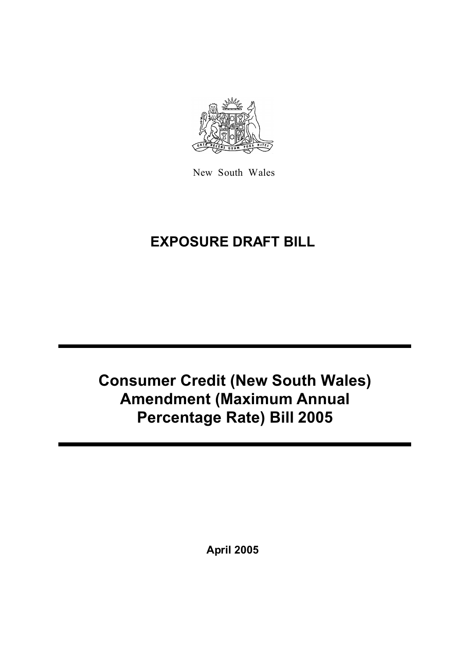

New South Wales

# **EXPOSURE DRAFT BILL**

# **Consumer Credit (New South Wales) Amendment (Maximum Annual Percentage Rate) Bill 2005**

**April 2005**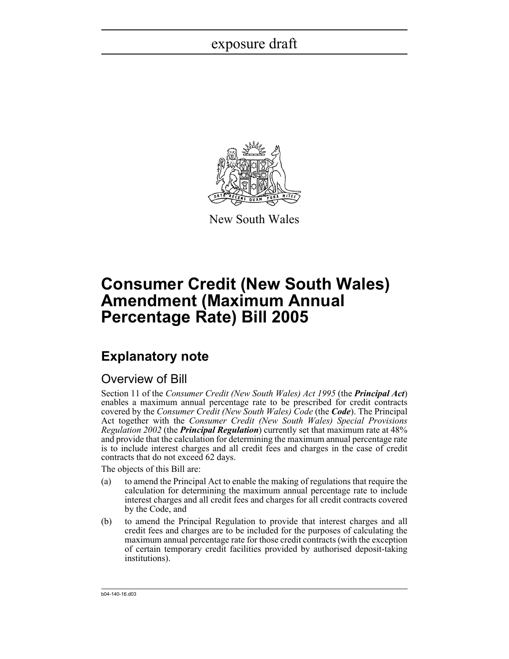

New South Wales

## **Consumer Credit (New South Wales) Amendment (Maximum Annual Percentage Rate) Bill 2005**

### **Explanatory note**

### Overview of Bill

Section 11 of the *Consumer Credit (New South Wales) Act 1995* (the *Principal Act*) enables a maximum annual percentage rate to be prescribed for credit contracts covered by the *Consumer Credit (New South Wales) Code* (the *Code*). The Principal Act together with the *Consumer Credit (New South Wales) Special Provisions Regulation 2002* (the *Principal Regulation*) currently set that maximum rate at 48% and provide that the calculation for determining the maximum annual percentage rate is to include interest charges and all credit fees and charges in the case of credit contracts that do not exceed 62 days.

The objects of this Bill are:

- (a) to amend the Principal Act to enable the making of regulations that require the calculation for determining the maximum annual percentage rate to include interest charges and all credit fees and charges for all credit contracts covered by the Code, and
- (b) to amend the Principal Regulation to provide that interest charges and all credit fees and charges are to be included for the purposes of calculating the maximum annual percentage rate for those credit contracts (with the exception of certain temporary credit facilities provided by authorised deposit-taking institutions).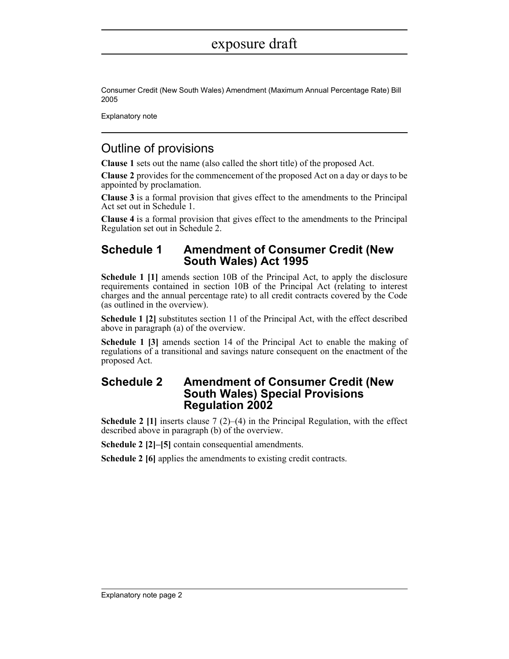Consumer Credit (New South Wales) Amendment (Maximum Annual Percentage Rate) Bill 2005

Explanatory note

### Outline of provisions

**Clause 1** sets out the name (also called the short title) of the proposed Act.

**Clause 2** provides for the commencement of the proposed Act on a day or days to be appointed by proclamation.

**Clause 3** is a formal provision that gives effect to the amendments to the Principal Act set out in Schedule 1.

**Clause 4** is a formal provision that gives effect to the amendments to the Principal Regulation set out in Schedule 2.

### **Schedule 1 Amendment of Consumer Credit (New South Wales) Act 1995**

**Schedule 1 [1]** amends section 10B of the Principal Act, to apply the disclosure requirements contained in section 10B of the Principal Act (relating to interest charges and the annual percentage rate) to all credit contracts covered by the Code (as outlined in the overview).

**Schedule 1 [2]** substitutes section 11 of the Principal Act, with the effect described above in paragraph (a) of the overview.

**Schedule 1 [3]** amends section 14 of the Principal Act to enable the making of regulations of a transitional and savings nature consequent on the enactment of the proposed Act.

### **Schedule 2 Amendment of Consumer Credit (New South Wales) Special Provisions Regulation 2002**

**Schedule 2 [1]** inserts clause 7 (2)–(4) in the Principal Regulation, with the effect described above in paragraph (b) of the overview.

**Schedule 2 [2]–[5]** contain consequential amendments.

**Schedule 2 [6]** applies the amendments to existing credit contracts.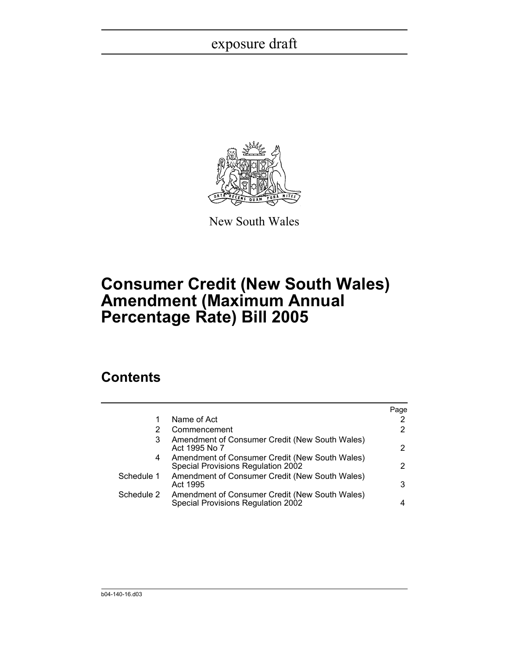

New South Wales

## **Consumer Credit (New South Wales) Amendment (Maximum Annual Percentage Rate) Bill 2005**

### **Contents**

|                                                                                      | Page |
|--------------------------------------------------------------------------------------|------|
| Name of Act                                                                          |      |
| Commencement                                                                         |      |
| Amendment of Consumer Credit (New South Wales)<br>Act 1995 No 7                      | 2    |
| Amendment of Consumer Credit (New South Wales)<br>Special Provisions Regulation 2002 | 2    |
| Amendment of Consumer Credit (New South Wales)<br>Act 1995                           | 3    |
| Amendment of Consumer Credit (New South Wales)<br>Special Provisions Regulation 2002 |      |
|                                                                                      |      |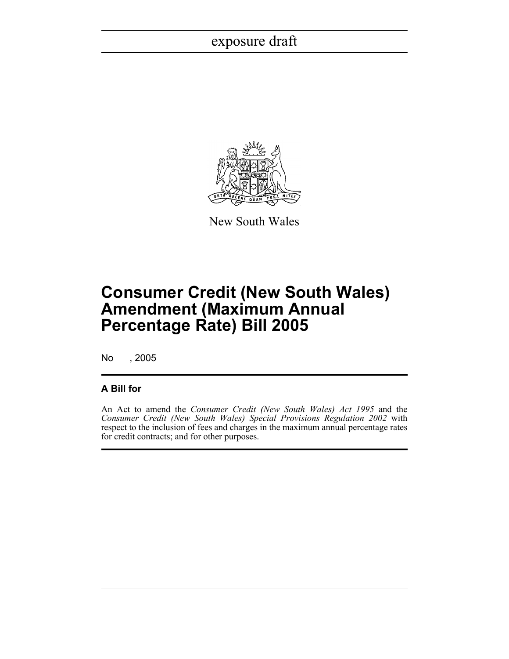

New South Wales

## **Consumer Credit (New South Wales) Amendment (Maximum Annual Percentage Rate) Bill 2005**

No , 2005

#### **A Bill for**

An Act to amend the *Consumer Credit (New South Wales) Act 1995* and the *Consumer Credit (New South Wales) Special Provisions Regulation 2002* with respect to the inclusion of fees and charges in the maximum annual percentage rates for credit contracts; and for other purposes.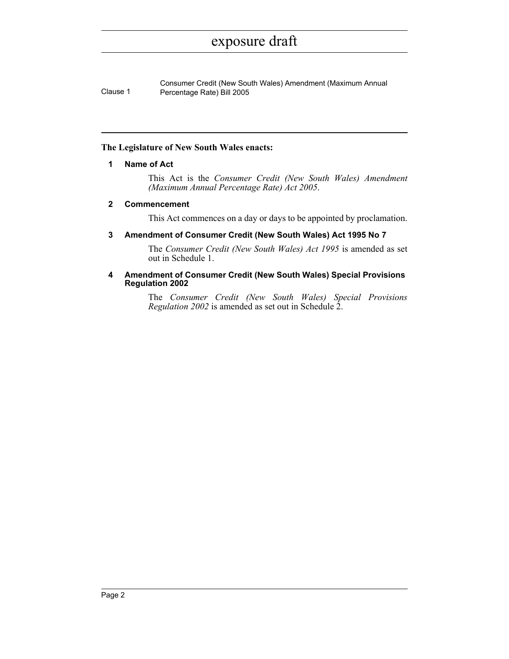Consumer Credit (New South Wales) Amendment (Maximum Annual Clause 1 Percentage Rate) Bill 2005

#### **The Legislature of New South Wales enacts:**

#### **1 Name of Act**

This Act is the *Consumer Credit (New South Wales) Amendment (Maximum Annual Percentage Rate) Act 2005*.

#### <span id="page-5-0"></span>**2 Commencement**

This Act commences on a day or days to be appointed by proclamation.

#### <span id="page-5-1"></span>**3 Amendment of Consumer Credit (New South Wales) Act 1995 No 7**

The *Consumer Credit (New South Wales) Act 1995* is amended as set out in Schedule 1.

#### <span id="page-5-2"></span>**4 Amendment of Consumer Credit (New South Wales) Special Provisions Regulation 2002**

The *Consumer Credit (New South Wales) Special Provisions Regulation 2002* is amended as set out in Schedule 2.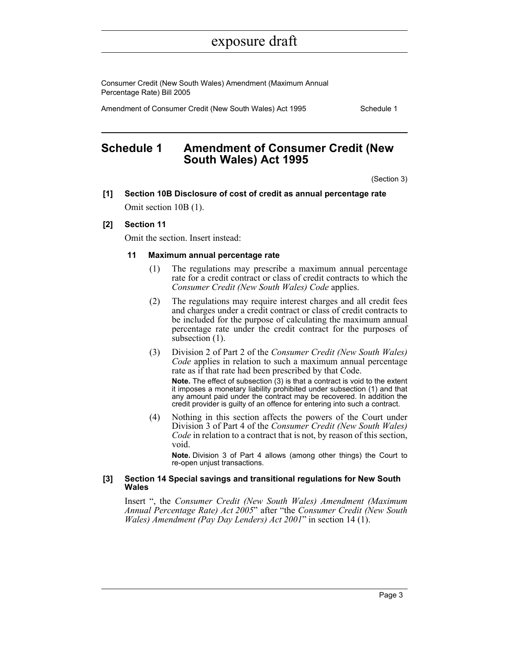Consumer Credit (New South Wales) Amendment (Maximum Annual Percentage Rate) Bill 2005

Amendment of Consumer Credit (New South Wales) Act 1995 Schedule 1

### <span id="page-6-0"></span>**Schedule 1 Amendment of Consumer Credit (New South Wales) Act 1995**

(Section 3)

**[1] Section 10B Disclosure of cost of credit as annual percentage rate** Omit section 10B (1).

#### **[2] Section 11**

Omit the section. Insert instead:

#### **11 Maximum annual percentage rate**

- (1) The regulations may prescribe a maximum annual percentage rate for a credit contract or class of credit contracts to which the *Consumer Credit (New South Wales) Code* applies.
- (2) The regulations may require interest charges and all credit fees and charges under a credit contract or class of credit contracts to be included for the purpose of calculating the maximum annual percentage rate under the credit contract for the purposes of subsection  $(1)$ .
- (3) Division 2 of Part 2 of the *Consumer Credit (New South Wales) Code* applies in relation to such a maximum annual percentage rate as if that rate had been prescribed by that Code.

**Note.** The effect of subsection (3) is that a contract is void to the extent it imposes a monetary liability prohibited under subsection (1) and that any amount paid under the contract may be recovered. In addition the credit provider is guilty of an offence for entering into such a contract.

(4) Nothing in this section affects the powers of the Court under Division 3 of Part 4 of the *Consumer Credit (New South Wales) Code* in relation to a contract that is not, by reason of this section, void.

**Note.** Division 3 of Part 4 allows (among other things) the Court to re-open unjust transactions.

#### **[3] Section 14 Special savings and transitional regulations for New South Wales**

Insert ", the *Consumer Credit (New South Wales) Amendment (Maximum Annual Percentage Rate) Act 2005*" after "the *Consumer Credit (New South Wales) Amendment (Pay Day Lenders) Act 2001*" in section 14 (1).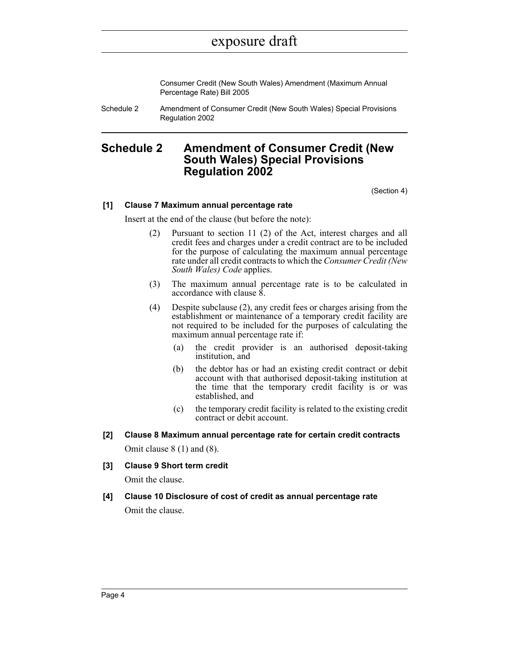Consumer Credit (New South Wales) Amendment (Maximum Annual Percentage Rate) Bill 2005

Schedule 2 Amendment of Consumer Credit (New South Wales) Special Provisions Regulation 2002

### <span id="page-7-0"></span>**Schedule 2 Amendment of Consumer Credit (New South Wales) Special Provisions Regulation 2002**

(Section 4)

#### **[1] Clause 7 Maximum annual percentage rate**

Insert at the end of the clause (but before the note):

- (2) Pursuant to section 11 (2) of the Act, interest charges and all credit fees and charges under a credit contract are to be included for the purpose of calculating the maximum annual percentage rate under all credit contracts to which the *Consumer Credit (New South Wales) Code* applies.
- (3) The maximum annual percentage rate is to be calculated in accordance with clause 8.
- (4) Despite subclause (2), any credit fees or charges arising from the establishment or maintenance of a temporary credit facility are not required to be included for the purposes of calculating the maximum annual percentage rate if:
	- (a) the credit provider is an authorised deposit-taking institution, and
	- (b) the debtor has or had an existing credit contract or debit account with that authorised deposit-taking institution at the time that the temporary credit facility is or was established, and
	- (c) the temporary credit facility is related to the existing credit contract or debit account.
- **[2] Clause 8 Maximum annual percentage rate for certain credit contracts** Omit clause 8 (1) and (8).
- **[3] Clause 9 Short term credit**

Omit the clause.

**[4] Clause 10 Disclosure of cost of credit as annual percentage rate** Omit the clause.